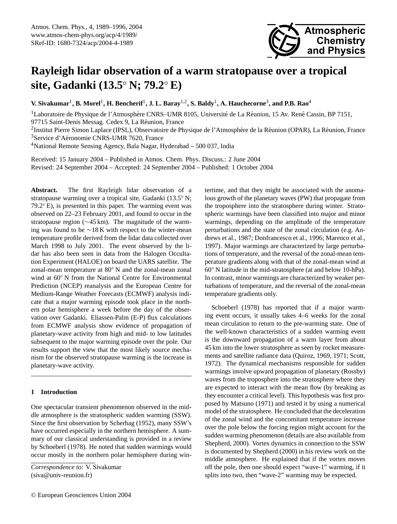

# **Rayleigh lidar observation of a warm stratopause over a tropical site, Gadanki (13.5**◦ **N; 79.2**◦ **E)**

 $V.~\text{Sivakumar}^1, \text{B. Morel}^1, \text{H.}~\text{Bencherif}^1, \text{J.}~\text{L.~Baray}^{1,2}, \text{S.~Baldy}^1, \text{A.~Hauchecorne}^3, \text{and~P.B.~Rao}^4$ 

 $1$ Laboratoire de Physique de l'Atmosphère CNRS–UMR 8105, Université de La Réunion, 15 Av. René Cassin, BP 7151, 97715 Saint-Denis Messag. Cedex 9, La Reunion, France ´ <sup>2</sup>Institut Pierre Simon Laplace (IPSL), Observatoire de Physique de l'Atmosphère de la Réunion (OPAR), La Réunion, France <sup>3</sup>Service d'Aéronomie CNRS-UMR 7620, France <sup>4</sup>National Remote Sensing Agency, Bala Nagar, Hyderabad – 500 037, India

Received: 15 January 2004 – Published in Atmos. Chem. Phys. Discuss.: 2 June 2004 Revised: 24 September 2004 – Accepted: 24 September 2004 – Published: 1 October 2004

**Abstract.** The first Rayleigh lidar observation of a stratopause warming over a tropical site, Gadanki (13.5° N; 79.2◦ E), is presented in this paper. The warming event was observed on 22–23 February 2001, and found to occur in the stratopause region (∼45 km). The magnitude of the warming was found to be ∼18 K with respect to the winter-mean temperature profile derived from the lidar data collected over March 1998 to July 2001. The event observed by the lidar has also been seen in data from the Halogen Occultation Experiment (HALOE) on board the UARS satellite. The zonal-mean temperature at 80◦ N and the zonal-mean zonal wind at 60<sup>°</sup> N from the National Centre for Environmental Prediction (NCEP) reanalysis and the European Centre for Medium-Range Weather Forecasts (ECMWF) analysis indicate that a major warming episode took place in the northern polar hemisphere a week before the day of the observation over Gadanki. Eliassen-Palm (E-P) flux calculations from ECMWF analysis show evidence of propagation of planetary-wave activity from high and mid- to low latitudes subsequent to the major warming episode over the pole. Our results support the view that the most likely source mechanism for the observed stratopause warming is the increase in planetary-wave activity.

## **1 Introduction**

One spectacular transient phenomenon observed in the middle atmosphere is the stratospheric sudden warming (SSW). Since the first observation by Scherhag (1952), many SSW's have occurred especially in the northern hemisphere. A summary of our classical understanding is provided in a review by Schoeberl (1978). He noted that sudden warmings would occur mostly in the northern polar hemisphere during wintertime, and that they might be associated with the anomalous growth of the planetary waves (PW) that propagate from the troposphere into the stratosphere during winter. Stratospheric warmings have been classified into major and minor warmings, depending on the amplitude of the temperature perturbations and the state of the zonal circulation (e.g. Andrews et al., 1987; Donfrancesco et al., 1996; Marenco et al., 1997). Major warmings are characterized by large perturbations of temperature, and the reversal of the zonal-mean temperature gradients along with that of the zonal-mean wind at 60◦ N latitude in the mid-stratosphere (at and below 10-hPa). In contrast, minor warmings are characterized by weaker perturbations of temperature, and the reversal of the zonal-mean temperature gradients only.

Schoeberl (1978) has reported that if a major warming event occurs, it usually takes 4–6 weeks for the zonal mean circulation to return to the pre-warming state. One of the well-known characteristics of a sudden warming event is the downward propagation of a warm layer from about 45 km into the lower stratosphere as seen by rocket measurements and satellite radiance data (Quiroz, 1969, 1971; Scott, 1972). The dynamical mechanisms responsible for sudden warmings involve upward propagation of planetary (Rossby) waves from the troposphere into the stratosphere where they are expected to interact with the mean flow (by breaking as they encounter a critical level). This hypothesis was first proposed by Matsuno (1971) and tested it by using a numerical model of the stratosphere. He concluded that the deceleration of the zonal wind and the concomitant temperature increase over the pole below the forcing region might account for the sudden warming phenomenon (details are also available from Shepherd, 2000). Vortex dynamics in connection to the SSW is documented by Shepherd (2000) in his review work on the middle atmosphere. He explained that if the vortex moves off the pole, then one should expect "wave-1" warming, if it splits into two, then "wave-2" warming may be expected.

<span id="page-0-0"></span>*Correspondence to:* V. Sivakumar (siva@univ-reunion.fr)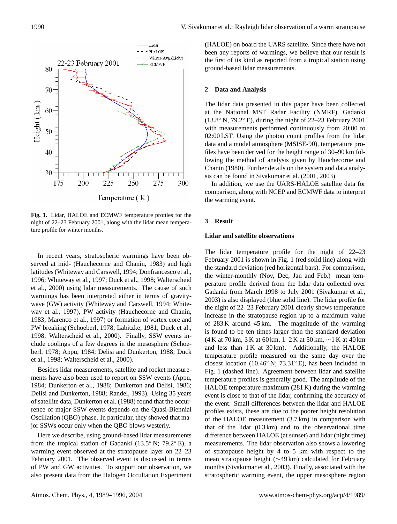

night of 22–23 February 2001, along with the lidar mean tempera-  $\frac{3}{5}$  Result ture profile for winter months. **Fig. 1.** Lidar, HALOE and ECMWF temperature profiles for the

In recent years, stratospheric warmings have been observed at mid- (Hauchecorne and Chanin, 1983) and high latitudes (Whiteway and Carswell, 1994; Donfrancesco et al., 1996; Whiteway et al., 1997; Duck et al., 1998; Walterscheid et al., 2000) using lidar measurements. The cause of such warmings has been interpreted either in terms of gravitywave (GW) activity (Whiteway and Carswell, 1994; Whiteway et al., 1997), PW activity (Hauchecorne and Chanin, 1983; Marenco et al., 1997) or formation of vortex core and PW breaking (Schoeberl, 1978; Labitzke, 1981; Duck et al., 1998; Walterscheid et al., 2000). Finally, SSW events include coolings of a few degrees in the mesosphere (Schoeberl, 1978; Appu, 1984; Delisi and Dunkerton, 1988; Duck et al., 1998; Walterscheid et al., 2000).

Besides lidar measurements, satellite and rocket measurements have also been used to report on SSW events (Appu, 1984; Dunkerton et al., 1988; Dunkerton and Delisi, 1986; Delisi and Dunkerton, 1988; Randel, 1993). Using 35 years of satellite data, Dunkerton et al. (1988) found that the occurrence of major SSW events depends on the Quasi-Biennial Oscillation (QBO) phase. In particular, they showed that major SSWs occur only when the QBO blows westerly.

Here we describe, using ground-based lidar measurements from the tropical station of Gadanki (13.5 $\degree$  N; 79.2 $\degree$  E), a warming event observed at the stratopause layer on 22–23 February 2001. The observed event is discussed in terms of PW and GW activities. To support our observation, we also present data from the Halogen Occultation Experiment (HALOE) on board the UARS satellite. Since there have not been any reports of warmings, we believe that our result is the first of its kind as reported from a tropical station using ground-based lidar measurements.

### **2 Data and Analysis**

The lidar data presented in this paper have been collected at the National MST Radar Facility (NMRF), Gadanki (13.8◦ N, 79.2◦ E), during the night of 22–23 February 2001 with measurements performed continuously from 20:00 to 02:00 LST. Using the photon count profiles from the lidar data and a model atmosphere (MSISE-90), temperature profiles have been derived for the height range of 30–90 km following the method of analysis given by Hauchecorne and Chanin (1980). Further details on the system and data analysis can be found in Sivakumar et al. (2001, 2003).

In addition, we use the UARS-HALOE satellite data for comparison, along with NCEP and ECMWF data to interpret the warming event.

#### **3 Result**

#### **Lidar and satellite observations**

15 (4 K at 70 km, 3 K at 60 km, 1–2 K at 50 km, ∼1 K at 40 km The lidar temperature profile for the night of 22–23 February 2001 is shown in Fig. 1 (red solid line) along with the standard deviation (red horizontal bars). For comparison, the winter-monthly (Nov, Dec, Jan and Feb.) mean temperature profile derived from the lidar data collected over Gadanki from March 1998 to July 2001 (Sivakumar et al., 2003) is also displayed (blue solid line). The lidar profile for the night of 22–23 February 2001 clearly shows temperature increase in the stratopause region up to a maximum value of 283 K around 45 km. The magnitude of the warming is found to be ten times larger than the standard deviation and less than  $1 K$  at  $30 km$ . Additionally, the HALOE temperature profile measured on the same day over the closest location (10.46◦ N; 73.31◦ E), has been included in Fig. 1 (dashed line). Agreement between lidar and satellite temperature profiles is generally good. The amplitude of the HALOE temperature maximum (281 K) during the warming event is close to that of the lidar, confirming the accuracy of the event. Small differences between the lidar and HALOE profiles exists, these are due to the poorer height resolution of the HALOE measurement (3.7 km) in comparison with that of the lidar (0.3 km) and to the observational time difference between HALOE (at sunset) and lidar (night time) measurements. The lidar observation also shows a lowering of stratopause height by 4 to 5 km with respect to the mean stratopause height (∼49 km) calculated for February months (Sivakumar et al., 2003). Finally, associated with the stratospheric warming event, the upper mesosphere region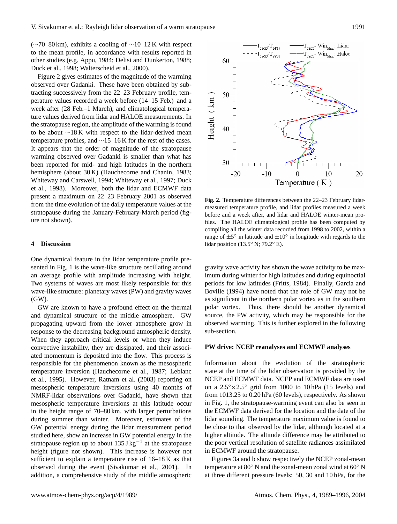(∼70–80 km), exhibits a cooling of ∼10–12 K with respect to the mean profile, in accordance with results reported in other studies (e.g. Appu, 1984; Delisi and Dunkerton, 1988; Duck et al., 1998; Walterscheid et al., 2000).

Figure 2 gives estimates of the magnitude of the warming observed over Gadanki. These have been obtained by subtracting successively from the 22–23 February profile, temperature values recorded a week before (14–15 Feb.) and a week after (28 Feb.–1 March), and climatological temperature values derived from lidar and HALOE measurements. In the stratopause region, the amplitude of the warming is found to be about ∼18 K with respect to the lidar-derived mean temperature profiles, and ∼15–16 K for the rest of the cases. It appears that the order of magnitude of the stratopause warming observed over Gadanki is smaller than what has been reported for mid- and high latitudes in the northern hemisphere (about 30 K) (Hauchecorne and Chanin, 1983; Whiteway and Carswell, 1994; Whiteway et al., 1997; Duck et al., 1998). Moreover, both the lidar and ECMWF data present a maximum on 22–23 February 2001 as observed from the time evolution of the daily temperature values at the stratopause during the January-February-March period (figure not shown).

#### **4 Discussion**

One dynamical feature in the lidar temperature profile presented in Fig. 1 is the wave-like structure oscillating around an average profile with amplitude increasing with height. Two systems of waves are most likely responsible for this wave-like structure: planetary waves (PW) and gravity waves (GW).

GW are known to have a profound effect on the thermal and dynamical structure of the middle atmosphere. GW propagating upward from the lower atmosphere grow in response to the decreasing background atmospheric density. When they approach critical levels or when they induce convective instability, they are dissipated, and their associated momentum is deposited into the flow. This process is responsible for the phenomenon known as the mesospheric temperature inversion (Hauchecorne et al., 1987; Leblanc et al., 1995). However, Ratnam et al. (2003) reporting on mesospheric temperature inversions using 40 months of NMRF-lidar observations over Gadanki, have shown that mesospheric temperature inversions at this latitude occur in the height range of 70–80 km, with larger perturbations during summer than winter. Moreover, estimates of the GW potential energy during the lidar measurement period studied here, show an increase in GW potential energy in the stratopause region up to about  $135 \text{ J kg}^{-1}$  at the stratopause height (figure not shown). This increase is however not sufficient to explain a temperature rise of 16–18 K as that observed during the event (Sivakumar et al., 2001). In addition, a comprehensive study of the middle atmospheric



 $P$ efore and a week after, and lidar and HALOE winter-mean profiles. The HALOE climatological profile has been computed by compiling all the winter data recorded from 1998 to 2002, within a range of  $\pm 5^\circ$  in latitude and  $\pm 10^\circ$  in longitude with regards to the lidar position (13.5<sup>°</sup> N; 79.2<sup>°</sup> E). **Fig. 2.** Temperature differences between the 22–23 February lidarmeasured temperature profile, and lidar profiles measured a week

gravity wave activity has shown the wave activity to be maximum during winter for high latitudes and during equinoctial periods for low latitudes (Fritts, 1984). Finally, Garcia and Boville (1994) have noted that the role of GW may not be as significant in the northern polar vortex as in the southern polar vortex. Thus, there should be another dynamical source, the PW activity, which may be responsible for the observed warming. This is further explored in the following sub-section.

#### **PW drive: NCEP reanalyses and ECMWF analyses**

Information about the evolution of the stratospheric state at the time of the lidar observation is provided by the NCEP and ECMWF data. NCEP and ECMWF data are used on a  $2.5° \times 2.5°$  grid from 1000 to 10 hPa (15 levels) and from 1013.25 to 0.20 hPa (60 levels), respectively. As shown in Fig. 1, the stratopause-warming event can also be seen in the ECMWF data derived for the location and the date of the lidar sounding. The temperature maximum value is found to be close to that observed by the lidar, although located at a higher altitude. The altitude difference may be attributed to the poor vertical resolution of satellite radiances assimilated in ECMWF around the stratopause.

Figures 3a and b show respectively the NCEP zonal-mean temperature at 80◦ N and the zonal-mean zonal wind at 60◦ N at three different pressure levels: 50, 30 and 10 hPa, for the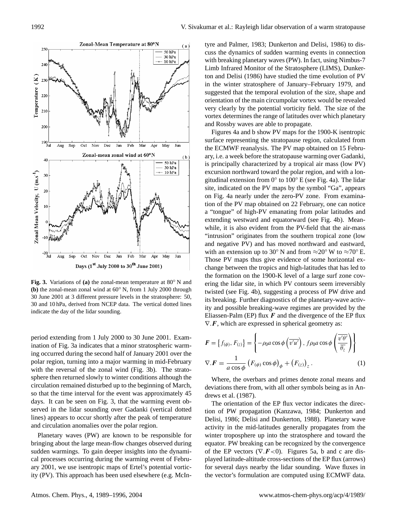

**Fig. 3.** Variations of (a) the zonal-mean temperature at  $80^\circ$  N and  $\overrightarrow{err}$  $\frac{m}{\sqrt{2}}$  be zonal mean zonal wind at  $\frac{600 \text{ N}}{\pi}$  from 1 July 2000 through **(b)** the zonal-mean zonal wind at  $60°$  N, from 1 July 2000 through twi 30 June 2001 at 3 different pressure levels in the stratosphere: 50, 30 and 10 hPa, derived from NCEP data. The vertical dotted lines indicate the day of the lidar sounding.

period extending from 1 July 2000 to 30 June 2001. Examination of Fig. 3a indicates that a minor stratospheric warming occurred during the second half of January 2001 over the polar region, turning into a major warming in mid-February with the reversal of the zonal wind (Fig. 3b). The stratosphere then returned slowly to winter conditions although the circulation remained disturbed up to the beginning of March, so that the time interval for the event was approximately 45 days. It can be seen on Fig. 3, that the warming event observed in the lidar sounding over Gadanki (vertical dotted lines) appears to occur shortly after the peak of temperature and circulation anomalies over the polar region.

Planetary waves (PW) are known to be responsible for bringing about the large mean-flow changes observed during sudden warmings. To gain deeper insights into the dynamical processes occurring during the warming event of February 2001, we use isentropic maps of Ertel's potential vorticity (PV). This approach has been used elsewhere (e.g. McIntyre and Palmer, 1983; Dunkerton and Delisi, 1986) to discuss the dynamics of sudden warming events in connection with breaking planetary waves (PW). In fact, using Nimbus-7 Limb Infrared Monitor of the Stratosphere (LIMS), Dunkerton and Delisi (1986) have studied the time evolution of PV in the winter stratosphere of January–February 1979, and suggested that the temporal evolution of the size, shape and orientation of the main circumpolar vortex would be revealed very clearly by the potential vorticity field. The size of the vortex determines the range of latitudes over which planetary and Rossby waves are able to propagate.

 $\nabla$ .**F**, which are expressed in spherical geometry as: Figures 4a and b show PV maps for the 1900-K isentropic surface representing the stratopause region, calculated from the ECMWF reanalysis. The PV map obtained on 15 February, i.e. a week before the stratopause warming over Gadanki, is principally characterized by a tropical air mass (low PV) excursion northward toward the polar region, and with a longitudinal extension from 0◦ to 100◦ E (see Fig. 4a). The lidar site, indicated on the PV maps by the symbol "Ga", appears on Fig. 4a nearly under the zero-PV zone. From examination of the PV map obtained on 22 February, one can notice a "tongue" of high-PV emanating from polar latitudes and extending westward and equatorward (see Fig. 4b). Meanwhile, it is also evident from the PV-field that the air-mass "intrusion" originates from the southern tropical zone (low and negative PV) and has moved northward and eastward, with an extension up to 30 $\degree$  N and from  $\approx$ 20 $\degree$  W to  $\approx$ 70 $\degree$  E. Those PV maps thus give evidence of some horizontal exchange between the tropics and high-latitudes that has led to the formation on the 1900-K level of a large surf zone covering the lidar site, in which PV contours seem irreversibly twisted (see Fig. 4b), suggesting a process of PW drive and its breaking. Further diagnostics of the planetary-wave activity and possible breaking-wave regimes are provided by the Eliassen-Palm (EP) flux  $\vec{F}$  and the divergence of the EP flux

$$
\mathbf{F} = \left\{ f_{(\phi)}, F_{(z)} \right\} = \left\{ -\rho_0 a \cos \phi \left( \overline{v'u'} \right), f\rho_0 a \cos \phi \left( \overline{\frac{v'\theta'}{\theta_z}} \right) \right\}
$$
  

$$
\nabla. \mathbf{F} = \frac{1}{a \cos \phi} \left( F_{(\phi)} \cos \phi \right)_{\phi} + \left( F_{(z)} \right)_{z} . \tag{1}
$$

Where, the overbars and primes denote zonal means and deviations there from, with all other symbols being as in Andrews et al. (1987).

The orientation of the EP flux vector indicates the direction of PW propagation (Kanzawa, 1984; Dunkerton and Delisi, 1986; Delisi and Dunkerton, 1988). Planetary wave activity in the mid-latitudes generally propagates from the winter troposphere up into the stratosphere and toward the equator. PW breaking can be recognized by the convergence of the EP vectors  $(\nabla \cdot \vec{F} < 0)$ . Figures 5a, b and c are displayed latitude-altitude cross-sections of the EP flux (arrows) for several days nearby the lidar sounding. Wave fluxes in the vector's formulation are computed using ECMWF data.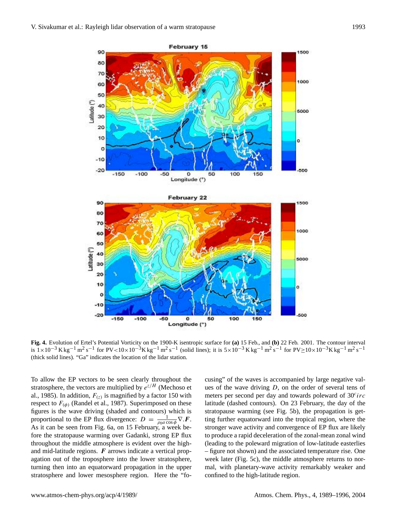

 $F_1 \times F_2$  is  $F_3$  in the 1900-K is  $F_4$  in the 1900-K is position.<br>(thick solid lines). "Ga" indicates the location of the lidar station. (a) Feb.15, and (b)  $\bar{Z}$  Feb.22, 2001. The contour interval is 1 $\bar{Z}$  for  $\bar{Z}$  and  $\bar{Z}$ **Fig. 4.** Evolution of Ertel's Potential Vorticity on the 1900-K isentropic surface for **(a)** 15 Feb., and **(b)** 22 Feb. 2001. The contour interval is  $1 \times 10^{-3}$  K kg<sup>-1</sup> m<sup>2</sup> s<sup>-1</sup> for PV<10×10<sup>-3</sup>K kg<sup>-1</sup> m<sup>2</sup> s<sup>-1</sup> (solid lines); it is  $5 \times 10^{-3}$  K kg<sup>-1</sup> m<sup>2</sup> s<sup>-1</sup> for PV≥10×10<sup>-3</sup>K kg<sup>-1</sup> m<sup>2</sup> s<sup>-1</sup>

stratosphere, the vectors are multiplied by  $e^{z/H}$  (Mechoso et ues of the wave driving D, on the order of al., 1985). In addition,  $F(z)$  is magnified by a factor 150 with respect to  $F_{\left(\phi\right)}$  (Randel et al., 1987). Superimposed on these figures is the wave driving (shaded and contours) which is proportional to the EP flux divergence:  $D = \frac{1}{\rho_0 a \cos \phi} \nabla F$ . As it can be seen from Fig. 6a, on 15 February, a week before the stratopause warming over Gadanki, strong EP flux throughout the middle atmosphere is evident over the highand mid-latitude regions.  $\boldsymbol{F}$  arrows indicate a vertical propagation out of the troposphere into the lower stratosphere, turning then into an equatorward propagation in the upper stratosphere and lower mesosphere region. Here the "fo-

To allow the EP vectors to be seen clearly throughout the cusing" of the waves is accompanied by large negative valcusing" of the waves is accompanied by large negative values of the wave driving  $D$ , on the order of several tens of meters per second per day and towards poleward of  $30^\circ$ irc latitude (dashed contours). On 23 February, the day of the stratopause warming (see Fig. 5b), the propagation is getting further equatorward into the tropical region, where the stronger wave activity and convergence of EP flux are likely to produce a rapid deceleration of the zonal-mean zonal wind (leading to the poleward migration of low-latitude easterlies – figure not shown) and the associated temperature rise. One week later (Fig. 5c), the middle atmosphere returns to normal, with planetary-wave activity remarkably weaker and confined to the high-latitude region.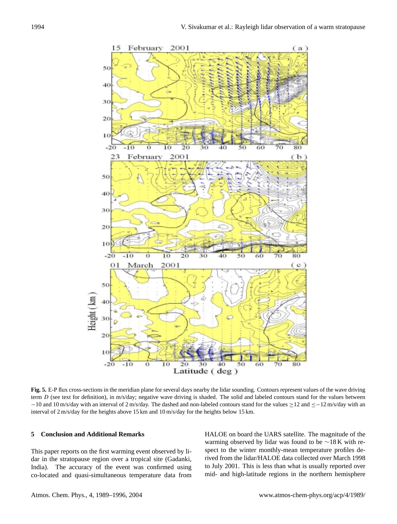

Fig. 5. E-P flux cross-sections in the meridian plane for several days nearby the lidar sounding. Contours represent values of the wave driving term  $D$  (see text for definition), in m/s/day; negative wave driving is shaded. The solid and labeled contours stand for the values between −10 and 10 m/s/day with an interval of 2 m/s/day. The dashed and non-labeled contours stand for the values ≥12 and ≤−12 m/s/day with an interval of 2 m/s/day for the heights above 15 km and  $10 \text{ m/s/day}$  for the heights below 15 km.

# **5 Conclusion and Additional Remarks**

This paper reports on the first warming event observed by lidar in the stratopause region over a tropical site (Gadanki, India). The accuracy of the event was confirmed using co-located and quasi-simultaneous temperature data from

spect to the winter monthly-mean temperature profiles de-HALOE on board the UARS satellite. The magnitude of the warming observed by lidar was found to be ∼18 K with rerived from the lidar/HALOE data collected over March 1998 to July 2001. This is less than what is usually reported over mid- and high-latitude regions in the northern hemisphere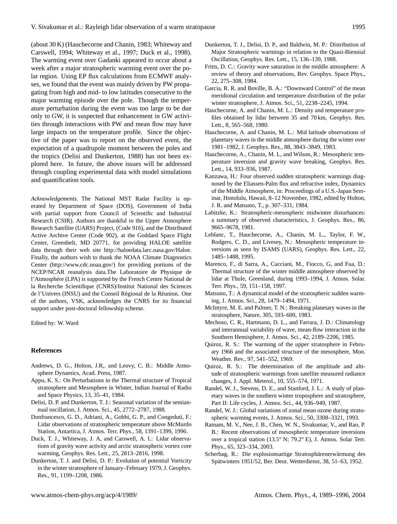(about 30 K) (Hauchecorne and Chanin, 1983; Whiteway and Carswell, 1994; Whiteway et al., 1997; Duck et al., 1998). The warming event over Gadanki appeared to occur about a week after a major stratospheric warming event over the polar region. Using EP flux calculations from ECMWF analyses, we found that the event was mainly driven by PW propagating from high and mid- to low latitudes consecutive to the major warming episode over the pole. Though the temperature perturbation during the event was too large to be due only to GW, it is suspected that enhancement in GW activities through interactions with PW and mean flow may have large impacts on the temperature profile. Since the objective of the paper was to report on the observed event, the expectation of a quadrupole moment between the poles and the tropics (Delisi and Dunkerton, 1988) has not been explored here. In future, the above issues will be addressed through coupling experimental data with model simulations and quantification tools.

*Acknowledgements.* The National MST Radar Facility is operated by Department of Space (DOS), Government of India with partial support from Council of Scientific and Industrial Research (CSIR). Authors are thankful to the Upper Atmosphere Research Satellite (UARS) Project, (Code 916), and the Distributed Active Archive Center (Code 902), at the Goddard Space Flight Center, Greenbelt, MD 20771, for providing HALOE satellite data through their web site [http://haloedata.larc.nasa.gov/Haloe.](http://haloedata.larc.nasa.gov/Haloe) Finally, the authors wish to thank the NOAA Climate Diagnostics Center [\(http://www.cdc.noaa.gov/\)](http://www.cdc.noaa.gov/) for providing portions of the NCEP/NCAR reanalysis data.The Laboratoire de Physique de l'Atmosphere (LPA) is supported by the French Centre National de ` la Recherche Scientifique (CNRS)/Institut National des Sciences de l'Univers (INSU) and the Conseil Régional de la Réunion. One of the authors, VSK, acknowledges the CNRS for its financial support under post-doctoral fellowship scheme.

Edited by: W. Ward

#### **References**

- Andrews, D. G., Holton, J.R,. and Leovy, C. B.: Middle Atmosphere Dynamics, Acad. Press, 1987.
- Appu, K. S.: On Perturbations in the Thermal structure of Tropical stratosphere and Mesosphere in Winter, Indian Journal of Radio and Space Physics, 13, 35–41, 1984.
- Delisi, D. P. and Dunkerton, T. J.: Seasonal variation of the semiannual oscillation, J. Atmos. Sci., 45, 2772–2787, 1988.
- Donfrancesco, G. D., Adriani, A., Gobbi, G. P., and Congeduti, F.: Lidar observations of stratospheric temperature above McMurdo Station, Antartica, J. Atmos. Terr. Phys., 58, 1391–1399, 1996.
- Duck, T. J., Whiteway, J. A, and Carswell, A. I.: Lidar observations of gravity wave activity and arctic stratospheric vortex core warming, Geophys. Res. Lett., 25, 2813–2816, 1998.
- Dunkerton, T. J. and Delisi, D. P.: Evolution of potential Vorticity in the winter stratosphere of January–February 1979, J. Geophys. Res., 91, 1199–1208, 1986.
- Dunkerton, T. J., Delisi, D. P., and Baldwin, M. P.: Distribution of Major Stratospheric warmings in relation to the Quasi-Biennial Oscillation, Geophys. Res. Lett., 15, 136–139, 1988.
- Fritts, D. C.: Gravity wave saturation in the middle atmosphere: A review of theory and observations, Rev. Geophys. Space Phys., 22, 275–308, 1984.
- Garcia, R. R. and Boville, B. A.: "Downward Control" of the mean meridional circulation and temperature distribution of the polar winter stratosphere, J. Atmos. Sci., 51, 2238–2245, 1994.
- Hauchecorne, A. and Chanin, M. L.: Density and temperature profiles obtained by lidar between 35 and 70 km, Geophys. Res. Lett., 8, 565–568, 1980.
- Hauchecorne, A. and Chanin, M. L.: Mid latitude observations of planetary waves in the middle atmosphere during the winter over 1981–1982, J. Geophys. Res., 88, 3843–3849, 1983.
- Hauchecorne, A., Chanin, M. L, and Wilson, R.: Mesospheric temperature inversion and gravity wave breaking, Geophys. Res. Lett., 14, 933–936, 1987.
- Kanzawa, H.: Four observed sudden stratospheric warmings diagnosed by the Eliassen-Palm flux and refractive index, Dynamics of the Middle Atmosphere, in: Proceedings of a U.S.-Japan Seminar, Honolulu, Hawaii, 8–12 November, 1982, edited by Holton, J. R. and Matsuno, T., p. 307–331, 1984.
- Labitzke, K.: Stratospheric-mesospheric midwinter disturbances: a summary of observed characteristics, J. Geophys. Res., 86, 9665–9678, 1981.
- Leblanc, T., Hauchecorne, A., Chanin, M. L., Taylor, F. W., Rodgers, C. D., and Livesey, N.: Mesospheric temperature inversions as seen by ISAMS (UARS), Geophys. Res. Lett., 22, 1485–1488, 1995.
- Marenco, F., di Sarra, A., Cacciani, M., Fiocco, G, and Fua, D.: Thermal structure of the winter middle atmosphere observed by lidar at Thule, Greenland, during 1993–1994, J. Atmos. Solar. Terr. Phys., 59, 151–158, 1997.
- Matsuno, T.: A dynamical model of the stratospheric sudden warming, J. Atmos. Sci., 28, 1479–1494, 1971.
- McIntyre, M. E. and Palmer, T. N.: Breaking planetary waves in the stratosphere, Nature, 305, 593–600, 1983.
- Mechoso, C. R., Hartmann, D. L., and Farrara, J. D.: Climatology and interannual variability of wave, mean-flow interaction in the Southern Hemisphere, J. Atmos. Sci., 42, 2189–2206, 1985.
- Quiroz, R. S.: The warming of the upper stratosphere in February 1966 and the associated structure of the mesosphere, Mon. Weather. Rev., 97, 541–552, 1969.
- Quiroz, R. S.: The determination of the amplitude and altitude of stratospheric warmings from satellite measured radiance changes, J. Appl. Meterol., 10, 555–574, 1971.
- Randel, W. J., Stevens, D. E., and Stanford, J. L.: A study of planetary waves in the southern winter troposphere and stratosphere, Part II: Life cycles, J. Atmos. Sci., 44, 936–949, 1987.
- Randel, W. J.: Global variations of zonal mean ozone during stratospheric warming events, J. Atmos. Sci., 50, 3308–3321, 1993.
- Ratnam, M. V., Nee, J. B., Chen, W. N., Sivakumar, V., and Rao, P. B.: Recent observations of mesospheric temperature inversions over a tropical station (13.5◦ N; 79.2◦ E), J. Atmos. Solar Terr. Phys., 65, 323–334, 2003.
- Scherhag, R.: Die explosionsartige Stratosphärenerwärmung des Spatwinters 1951/52, Ber. Deut. Wetterdienst, 38, 51–63, 1952. ¨